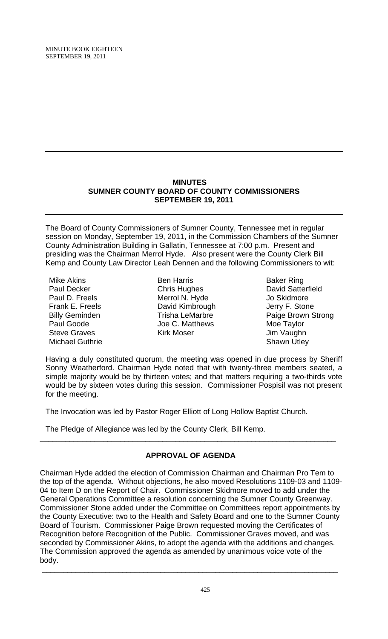# **MINUTES SUMNER COUNTY BOARD OF COUNTY COMMISSIONERS SEPTEMBER 19, 2011**

The Board of County Commissioners of Sumner County, Tennessee met in regular session on Monday, September 19, 2011, in the Commission Chambers of the Sumner County Administration Building in Gallatin, Tennessee at 7:00 p.m. Present and presiding was the Chairman Merrol Hyde. Also present were the County Clerk Bill Kemp and County Law Director Leah Dennen and the following Commissioners to wit:

- Mike Akins Paul Decker Paul D. Freels Frank E. Freels Billy Geminden Paul Goode Steve Graves Michael Guthrie
- Ben Harris Chris Hughes Merrol N. Hyde David Kimbrough Trisha LeMarbre Joe C. Matthews Kirk Moser
- Baker Ring David Satterfield Jo Skidmore Jerry F. Stone Paige Brown Strong Moe Taylor Jim Vaughn Shawn Utley

Having a duly constituted quorum, the meeting was opened in due process by Sheriff Sonny Weatherford. Chairman Hyde noted that with twenty-three members seated, a simple majority would be by thirteen votes; and that matters requiring a two-thirds vote would be by sixteen votes during this session. Commissioner Pospisil was not present for the meeting.

The Invocation was led by Pastor Roger Elliott of Long Hollow Baptist Church.

The Pledge of Allegiance was led by the County Clerk, Bill Kemp.

# **APPROVAL OF AGENDA**

\_\_\_\_\_\_\_\_\_\_\_\_\_\_\_\_\_\_\_\_\_\_\_\_\_\_\_\_\_\_\_\_\_\_\_\_\_\_\_\_\_\_\_\_\_\_\_\_\_\_\_\_\_\_\_\_\_\_\_\_\_\_\_\_\_\_\_\_\_\_

Chairman Hyde added the election of Commission Chairman and Chairman Pro Tem to the top of the agenda. Without objections, he also moved Resolutions 1109-03 and 1109- 04 to Item D on the Report of Chair. Commissioner Skidmore moved to add under the General Operations Committee a resolution concerning the Sumner County Greenway. Commissioner Stone added under the Committee on Committees report appointments by the County Executive: two to the Health and Safety Board and one to the Sumner County Board of Tourism. Commissioner Paige Brown requested moving the Certificates of Recognition before Recognition of the Public. Commissioner Graves moved, and was seconded by Commissioner Akins, to adopt the agenda with the additions and changes. The Commission approved the agenda as amended by unanimous voice vote of the body.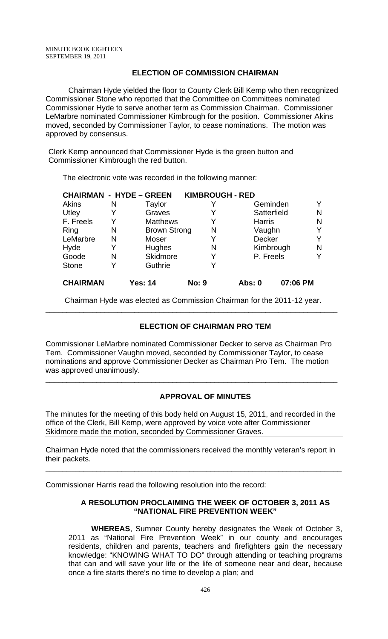## **ELECTION OF COMMISSION CHAIRMAN**

Chairman Hyde yielded the floor to County Clerk Bill Kemp who then recognized Commissioner Stone who reported that the Committee on Committees nominated Commissioner Hyde to serve another term as Commission Chairman. Commissioner LeMarbre nominated Commissioner Kimbrough for the position. Commissioner Akins moved, seconded by Commissioner Taylor, to cease nominations. The motion was approved by consensus.

Clerk Kemp announced that Commissioner Hyde is the green button and Commissioner Kimbrough the red button.

The electronic vote was recorded in the following manner:

|                 |   | <b>CHAIRMAN - HYDE - GREEN</b> | <b>KIMBROUGH - RED</b> |               |          |   |
|-----------------|---|--------------------------------|------------------------|---------------|----------|---|
| Akins           | N | Taylor                         |                        | Geminden      |          |   |
| Utley           | Y | Graves                         |                        | Satterfield   |          | N |
| F. Freels       | Y | <b>Matthews</b>                |                        | <b>Harris</b> |          | N |
| Ring            | N | <b>Brown Strong</b>            | N                      | Vaughn        |          | Y |
| LeMarbre        | N | Moser                          |                        | <b>Decker</b> |          |   |
| Hyde            | Y | Hughes                         | N                      | Kimbrough     |          | N |
| Goode           | N | Skidmore                       |                        | P. Freels     |          |   |
| <b>Stone</b>    | Y | Guthrie                        |                        |               |          |   |
| <b>CHAIRMAN</b> |   | Yes: 14                        | <b>No: 9</b>           | Abs: 0        | 07:06 PM |   |

 Chairman Hyde was elected as Commission Chairman for the 2011-12 year. \_\_\_\_\_\_\_\_\_\_\_\_\_\_\_\_\_\_\_\_\_\_\_\_\_\_\_\_\_\_\_\_\_\_\_\_\_\_\_\_\_\_\_\_\_\_\_\_\_\_\_\_\_\_\_\_\_\_\_\_\_\_\_\_\_\_\_\_\_

# **ELECTION OF CHAIRMAN PRO TEM**

Commissioner LeMarbre nominated Commissioner Decker to serve as Chairman Pro Tem. Commissioner Vaughn moved, seconded by Commissioner Taylor, to cease nominations and approve Commissioner Decker as Chairman Pro Tem. The motion was approved unanimously.

\_\_\_\_\_\_\_\_\_\_\_\_\_\_\_\_\_\_\_\_\_\_\_\_\_\_\_\_\_\_\_\_\_\_\_\_\_\_\_\_\_\_\_\_\_\_\_\_\_\_\_\_\_\_\_\_\_\_\_\_\_\_\_\_\_\_\_\_\_

# **APPROVAL OF MINUTES**

The minutes for the meeting of this body held on August 15, 2011, and recorded in the office of the Clerk, Bill Kemp, were approved by voice vote after Commissioner Skidmore made the motion, seconded by Commissioner Graves.

Chairman Hyde noted that the commissioners received the monthly veteran's report in their packets.

\_\_\_\_\_\_\_\_\_\_\_\_\_\_\_\_\_\_\_\_\_\_\_\_\_\_\_\_\_\_\_\_\_\_\_\_\_\_\_\_\_\_\_\_\_\_\_\_\_\_\_\_\_\_\_\_\_\_\_\_\_\_\_\_\_\_\_\_\_\_

Commissioner Harris read the following resolution into the record:

## **A RESOLUTION PROCLAIMING THE WEEK OF OCTOBER 3, 2011 AS "NATIONAL FIRE PREVENTION WEEK"**

**WHEREAS**, Sumner County hereby designates the Week of October 3, 2011 as "National Fire Prevention Week" in our county and encourages residents, children and parents, teachers and firefighters gain the necessary knowledge: "KNOWING WHAT TO DO" through attending or teaching programs that can and will save your life or the life of someone near and dear, because once a fire starts there's no time to develop a plan; and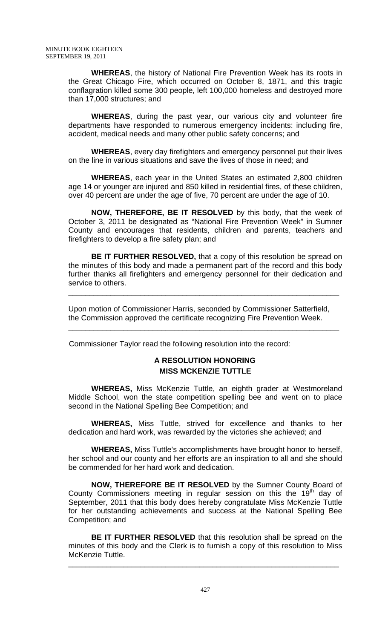**WHEREAS**, the history of National Fire Prevention Week has its roots in the Great Chicago Fire, which occurred on October 8, 1871, and this tragic conflagration killed some 300 people, left 100,000 homeless and destroyed more than 17,000 structures; and

**WHEREAS**, during the past year, our various city and volunteer fire departments have responded to numerous emergency incidents: including fire, accident, medical needs and many other public safety concerns; and

**WHEREAS**, every day firefighters and emergency personnel put their lives on the line in various situations and save the lives of those in need; and

**WHEREAS**, each year in the United States an estimated 2,800 children age 14 or younger are injured and 850 killed in residential fires, of these children, over 40 percent are under the age of five, 70 percent are under the age of 10.

**NOW, THEREFORE, BE IT RESOLVED** by this body, that the week of October 3, 2011 be designated as "National Fire Prevention Week" in Sumner County and encourages that residents, children and parents, teachers and firefighters to develop a fire safety plan; and

**BE IT FURTHER RESOLVED,** that a copy of this resolution be spread on the minutes of this body and made a permanent part of the record and this body further thanks all firefighters and emergency personnel for their dedication and service to others.

\_\_\_\_\_\_\_\_\_\_\_\_\_\_\_\_\_\_\_\_\_\_\_\_\_\_\_\_\_\_\_\_\_\_\_\_\_\_\_\_\_\_\_\_\_\_\_\_\_\_\_\_\_\_\_\_\_\_\_\_\_\_\_\_

Upon motion of Commissioner Harris, seconded by Commissioner Satterfield, the Commission approved the certificate recognizing Fire Prevention Week.

\_\_\_\_\_\_\_\_\_\_\_\_\_\_\_\_\_\_\_\_\_\_\_\_\_\_\_\_\_\_\_\_\_\_\_\_\_\_\_\_\_\_\_\_\_\_\_\_\_\_\_\_\_\_\_\_\_\_\_\_\_\_\_\_

Commissioner Taylor read the following resolution into the record:

# **A RESOLUTION HONORING MISS MCKENZIE TUTTLE**

**WHEREAS,** Miss McKenzie Tuttle, an eighth grader at Westmoreland Middle School, won the state competition spelling bee and went on to place second in the National Spelling Bee Competition; and

**WHEREAS,** Miss Tuttle, strived for excellence and thanks to her dedication and hard work, was rewarded by the victories she achieved; and

 **WHEREAS,** Miss Tuttle's accomplishments have brought honor to herself, her school and our county and her efforts are an inspiration to all and she should be commended for her hard work and dedication.

 **NOW, THEREFORE BE IT RESOLVED** by the Sumner County Board of County Commissioners meeting in regular session on this the  $19<sup>th</sup>$  day of September, 2011 that this body does hereby congratulate Miss McKenzie Tuttle for her outstanding achievements and success at the National Spelling Bee Competition; and

**BE IT FURTHER RESOLVED** that this resolution shall be spread on the minutes of this body and the Clerk is to furnish a copy of this resolution to Miss McKenzie Tuttle.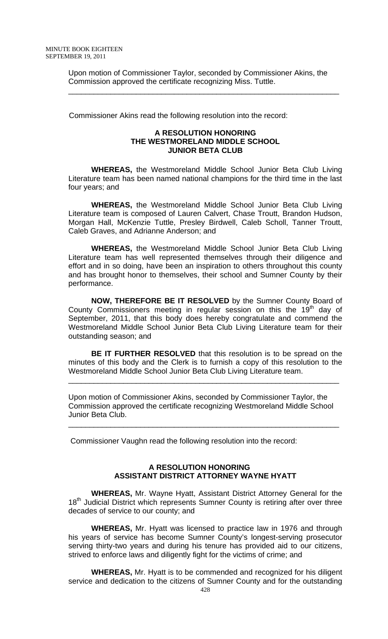Upon motion of Commissioner Taylor, seconded by Commissioner Akins, the Commission approved the certificate recognizing Miss. Tuttle.

\_\_\_\_\_\_\_\_\_\_\_\_\_\_\_\_\_\_\_\_\_\_\_\_\_\_\_\_\_\_\_\_\_\_\_\_\_\_\_\_\_\_\_\_\_\_\_\_\_\_\_\_\_\_\_\_\_\_\_\_\_\_\_\_

Commissioner Akins read the following resolution into the record:

## **A RESOLUTION HONORING THE WESTMORELAND MIDDLE SCHOOL JUNIOR BETA CLUB**

**WHEREAS,** the Westmoreland Middle School Junior Beta Club Living Literature team has been named national champions for the third time in the last four years; and

**WHEREAS,** the Westmoreland Middle School Junior Beta Club Living Literature team is composed of Lauren Calvert, Chase Troutt, Brandon Hudson, Morgan Hall, McKenzie Tuttle, Presley Birdwell, Caleb Scholl, Tanner Troutt, Caleb Graves, and Adrianne Anderson; and

**WHEREAS,** the Westmoreland Middle School Junior Beta Club Living Literature team has well represented themselves through their diligence and effort and in so doing, have been an inspiration to others throughout this county and has brought honor to themselves, their school and Sumner County by their performance.

**NOW, THEREFORE BE IT RESOLVED** by the Sumner County Board of County Commissioners meeting in regular session on this the  $19<sup>th</sup>$  day of September, 2011, that this body does hereby congratulate and commend the Westmoreland Middle School Junior Beta Club Living Literature team for their outstanding season; and

**BE IT FURTHER RESOLVED** that this resolution is to be spread on the minutes of this body and the Clerk is to furnish a copy of this resolution to the Westmoreland Middle School Junior Beta Club Living Literature team.

\_\_\_\_\_\_\_\_\_\_\_\_\_\_\_\_\_\_\_\_\_\_\_\_\_\_\_\_\_\_\_\_\_\_\_\_\_\_\_\_\_\_\_\_\_\_\_\_\_\_\_\_\_\_\_\_\_\_\_\_\_\_\_\_

Upon motion of Commissioner Akins, seconded by Commissioner Taylor, the Commission approved the certificate recognizing Westmoreland Middle School Junior Beta Club.

\_\_\_\_\_\_\_\_\_\_\_\_\_\_\_\_\_\_\_\_\_\_\_\_\_\_\_\_\_\_\_\_\_\_\_\_\_\_\_\_\_\_\_\_\_\_\_\_\_\_\_\_\_\_\_\_\_\_\_\_\_\_\_\_

Commissioner Vaughn read the following resolution into the record:

# **A RESOLUTION HONORING ASSISTANT DISTRICT ATTORNEY WAYNE HYATT**

**WHEREAS,** Mr. Wayne Hyatt, Assistant District Attorney General for the 18<sup>th</sup> Judicial District which represents Sumner County is retiring after over three decades of service to our county; and

**WHEREAS,** Mr. Hyatt was licensed to practice law in 1976 and through his years of service has become Sumner County's longest-serving prosecutor serving thirty-two years and during his tenure has provided aid to our citizens, strived to enforce laws and diligently fight for the victims of crime; and

**WHEREAS,** Mr. Hyatt is to be commended and recognized for his diligent service and dedication to the citizens of Sumner County and for the outstanding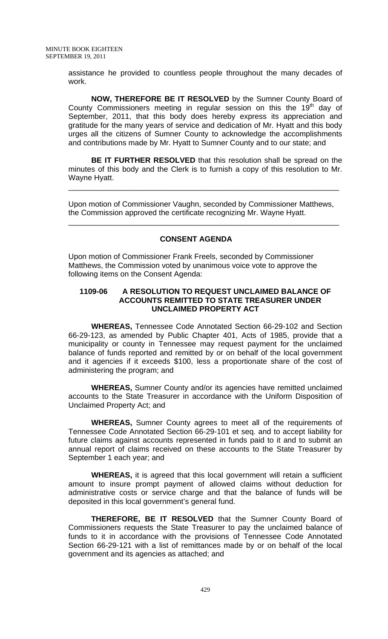assistance he provided to countless people throughout the many decades of work.

**NOW, THEREFORE BE IT RESOLVED** by the Sumner County Board of County Commissioners meeting in regular session on this the  $19<sup>th</sup>$  day of September, 2011, that this body does hereby express its appreciation and gratitude for the many years of service and dedication of Mr. Hyatt and this body urges all the citizens of Sumner County to acknowledge the accomplishments and contributions made by Mr. Hyatt to Sumner County and to our state; and

**BE IT FURTHER RESOLVED** that this resolution shall be spread on the minutes of this body and the Clerk is to furnish a copy of this resolution to Mr. Wayne Hyatt.

\_\_\_\_\_\_\_\_\_\_\_\_\_\_\_\_\_\_\_\_\_\_\_\_\_\_\_\_\_\_\_\_\_\_\_\_\_\_\_\_\_\_\_\_\_\_\_\_\_\_\_\_\_\_\_\_\_\_\_\_\_\_\_\_

Upon motion of Commissioner Vaughn, seconded by Commissioner Matthews, the Commission approved the certificate recognizing Mr. Wayne Hyatt.

\_\_\_\_\_\_\_\_\_\_\_\_\_\_\_\_\_\_\_\_\_\_\_\_\_\_\_\_\_\_\_\_\_\_\_\_\_\_\_\_\_\_\_\_\_\_\_\_\_\_\_\_\_\_\_\_\_\_\_\_\_\_\_\_

## **CONSENT AGENDA**

Upon motion of Commissioner Frank Freels, seconded by Commissioner Matthews, the Commission voted by unanimous voice vote to approve the following items on the Consent Agenda:

## **1109-06 A RESOLUTION TO REQUEST UNCLAIMED BALANCE OF ACCOUNTS REMITTED TO STATE TREASURER UNDER UNCLAIMED PROPERTY ACT**

**WHEREAS,** Tennessee Code Annotated Section 66-29-102 and Section 66-29-123, as amended by Public Chapter 401, Acts of 1985, provide that a municipality or county in Tennessee may request payment for the unclaimed balance of funds reported and remitted by or on behalf of the local government and it agencies if it exceeds \$100, less a proportionate share of the cost of administering the program; and

**WHEREAS,** Sumner County and/or its agencies have remitted unclaimed accounts to the State Treasurer in accordance with the Uniform Disposition of Unclaimed Property Act; and

**WHEREAS,** Sumner County agrees to meet all of the requirements of Tennessee Code Annotated Section 66-29-101 et seq. and to accept liability for future claims against accounts represented in funds paid to it and to submit an annual report of claims received on these accounts to the State Treasurer by September 1 each year; and

**WHEREAS,** it is agreed that this local government will retain a sufficient amount to insure prompt payment of allowed claims without deduction for administrative costs or service charge and that the balance of funds will be deposited in this local government's general fund.

**THEREFORE, BE IT RESOLVED** that the Sumner County Board of Commissioners requests the State Treasurer to pay the unclaimed balance of funds to it in accordance with the provisions of Tennessee Code Annotated Section 66-29-121 with a list of remittances made by or on behalf of the local government and its agencies as attached; and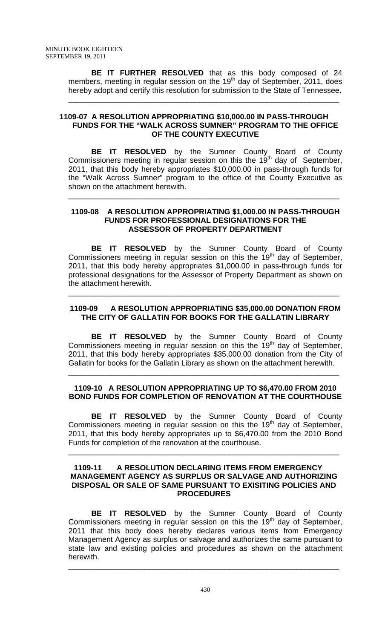**BE IT FURTHER RESOLVED** that as this body composed of 24 members, meeting in regular session on the  $19<sup>th</sup>$  day of September, 2011, does hereby adopt and certify this resolution for submission to the State of Tennessee.

\_\_\_\_\_\_\_\_\_\_\_\_\_\_\_\_\_\_\_\_\_\_\_\_\_\_\_\_\_\_\_\_\_\_\_\_\_\_\_\_\_\_\_\_\_\_\_\_\_\_\_\_\_\_\_\_\_\_\_\_\_\_\_\_

## **1109-07 A RESOLUTION APPROPRIATING \$10,000.00 IN PASS-THROUGH FUNDS FOR THE "WALK ACROSS SUMNER" PROGRAM TO THE OFFICE OF THE COUNTY EXECUTIVE**

 **BE IT RESOLVED** by the Sumner County Board of County Commissioners meeting in regular session on this the 19<sup>th</sup> day of September, 2011, that this body hereby appropriates \$10,000.00 in pass-through funds for the "Walk Across Sumner" program to the office of the County Executive as shown on the attachment herewith.

## **1109-08 A RESOLUTION APPROPRIATING \$1,000.00 IN PASS-THROUGH FUNDS FOR PROFESSIONAL DESIGNATIONS FOR THE ASSESSOR OF PROPERTY DEPARTMENT**

\_\_\_\_\_\_\_\_\_\_\_\_\_\_\_\_\_\_\_\_\_\_\_\_\_\_\_\_\_\_\_\_\_\_\_\_\_\_\_\_\_\_\_\_\_\_\_\_\_\_\_\_\_\_\_\_\_\_\_\_\_\_\_\_

**BE IT RESOLVED** by the Sumner County Board of County Commissioners meeting in regular session on this the  $19<sup>th</sup>$  day of September, 2011, that this body hereby appropriates \$1,000.00 in pass-through funds for professional designations for the Assessor of Property Department as shown on the attachment herewith.

# **1109-09 A RESOLUTION APPROPRIATING \$35,000.00 DONATION FROM THE CITY OF GALLATIN FOR BOOKS FOR THE GALLATIN LIBRARY**

\_\_\_\_\_\_\_\_\_\_\_\_\_\_\_\_\_\_\_\_\_\_\_\_\_\_\_\_\_\_\_\_\_\_\_\_\_\_\_\_\_\_\_\_\_\_\_\_\_\_\_\_\_\_\_\_\_\_\_\_\_\_\_\_

**BE IT RESOLVED** by the Sumner County Board of County Commissioners meeting in regular session on this the 19th day of September, 2011, that this body hereby appropriates \$35,000.00 donation from the City of Gallatin for books for the Gallatin Library as shown on the attachment herewith.

# **1109-10 A RESOLUTION APPROPRIATING UP TO \$6,470.00 FROM 2010 BOND FUNDS FOR COMPLETION OF RENOVATION AT THE COURTHOUSE**

\_\_\_\_\_\_\_\_\_\_\_\_\_\_\_\_\_\_\_\_\_\_\_\_\_\_\_\_\_\_\_\_\_\_\_\_\_\_\_\_\_\_\_\_\_\_\_\_\_\_\_\_\_\_\_\_\_\_\_\_\_\_\_\_

 **BE IT RESOLVED** by the Sumner County Board of County Commissioners meeting in regular session on this the  $19<sup>th</sup>$  day of September, 2011, that this body hereby appropriates up to \$6,470.00 from the 2010 Bond Funds for completion of the renovation at the courthouse.

\_\_\_\_\_\_\_\_\_\_\_\_\_\_\_\_\_\_\_\_\_\_\_\_\_\_\_\_\_\_\_\_\_\_\_\_\_\_\_\_\_\_\_\_\_\_\_\_\_\_\_\_\_\_\_\_\_\_\_\_\_\_\_\_

### **1109-11 A RESOLUTION DECLARING ITEMS FROM EMERGENCY MANAGEMENT AGENCY AS SURPLUS OR SALVAGE AND AUTHORIZING DISPOSAL OR SALE OF SAME PURSUANT TO EXISITING POLICIES AND PROCEDURES**

 **BE IT RESOLVED** by the Sumner County Board of County Commissioners meeting in regular session on this the  $19<sup>th</sup>$  day of September, 2011 that this body does hereby declares various items from Emergency Management Agency as surplus or salvage and authorizes the same pursuant to state law and existing policies and procedures as shown on the attachment herewith.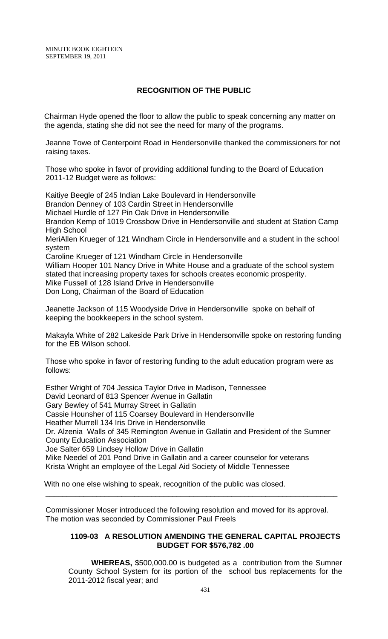# **RECOGNITION OF THE PUBLIC**

 Chairman Hyde opened the floor to allow the public to speak concerning any matter on the agenda, stating she did not see the need for many of the programs.

Jeanne Towe of Centerpoint Road in Hendersonville thanked the commissioners for not raising taxes.

Those who spoke in favor of providing additional funding to the Board of Education 2011-12 Budget were as follows:

Kaitiye Beegle of 245 Indian Lake Boulevard in Hendersonville Brandon Denney of 103 Cardin Street in Hendersonville Michael Hurdle of 127 Pin Oak Drive in Hendersonville Brandon Kemp of 1019 Crossbow Drive in Hendersonville and student at Station Camp High School MeriAllen Krueger of 121 Windham Circle in Hendersonville and a student in the school system Caroline Krueger of 121 Windham Circle in Hendersonville William Hooper 101 Nancy Drive in White House and a graduate of the school system stated that increasing property taxes for schools creates economic prosperity. Mike Fussell of 128 Island Drive in Hendersonville Don Long, Chairman of the Board of Education

Jeanette Jackson of 115 Woodyside Drive in Hendersonville spoke on behalf of keeping the bookkeepers in the school system.

Makayla White of 282 Lakeside Park Drive in Hendersonville spoke on restoring funding for the EB Wilson school.

Those who spoke in favor of restoring funding to the adult education program were as follows:

Esther Wright of 704 Jessica Taylor Drive in Madison, Tennessee David Leonard of 813 Spencer Avenue in Gallatin Gary Bewley of 541 Murray Street in Gallatin Cassie Hounsher of 115 Coarsey Boulevard in Hendersonville Heather Murrell 134 Iris Drive in Hendersonville Dr. Alzenia Walls of 345 Remington Avenue in Gallatin and President of the Sumner County Education Association Joe Salter 659 Lindsey Hollow Drive in Gallatin Mike Needel of 201 Pond Drive in Gallatin and a career counselor for veterans Krista Wright an employee of the Legal Aid Society of Middle Tennessee

With no one else wishing to speak, recognition of the public was closed.

Commissioner Moser introduced the following resolution and moved for its approval. The motion was seconded by Commissioner Paul Freels

\_\_\_\_\_\_\_\_\_\_\_\_\_\_\_\_\_\_\_\_\_\_\_\_\_\_\_\_\_\_\_\_\_\_\_\_\_\_\_\_\_\_\_\_\_\_\_\_\_\_\_\_\_\_\_\_\_\_\_\_\_\_\_\_\_\_\_\_\_

## **1109-03 A RESOLUTION AMENDING THE GENERAL CAPITAL PROJECTS BUDGET FOR \$576,782 .00**

**WHEREAS,** \$500,000.00 is budgeted as a contribution from the Sumner County School System for its portion of the school bus replacements for the 2011-2012 fiscal year; and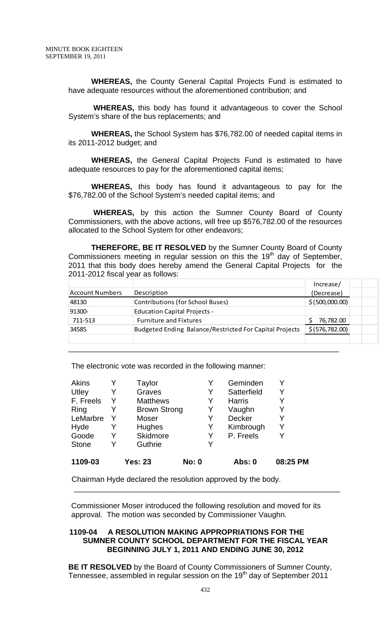**WHEREAS,** the County General Capital Projects Fund is estimated to have adequate resources without the aforementioned contribution; and

**WHEREAS,** this body has found it advantageous to cover the School System's share of the bus replacements; and

**WHEREAS,** the School System has \$76,782.00 of needed capital items in its 2011-2012 budget; and

**WHEREAS,** the General Capital Projects Fund is estimated to have adequate resources to pay for the aforementioned capital items;

**WHEREAS,** this body has found it advantageous to pay for the \$76,782.00 of the School System's needed capital items; and

**WHEREAS,** by this action the Sumner County Board of County Commissioners, with the above actions, will free up \$576,782.00 of the resources allocated to the School System for other endeavors;

**THEREFORE, BE IT RESOLVED** by the Sumner County Board of County Commissioners meeting in regular session on this the  $19<sup>th</sup>$  day of September, 2011 that this body does hereby amend the General Capital Projects for the 2011-2012 fiscal year as follows:

|                 |                                                         | Increase/        |  |
|-----------------|---------------------------------------------------------|------------------|--|
| Account Numbers | Description                                             | (Decrease)       |  |
| 48130           | Contributions (for School Buses)                        | \$ (500,000.00)  |  |
| 91300-          | <b>Education Capital Projects -</b>                     |                  |  |
| 711-513         | <b>Furniture and Fixtures</b>                           | 76,782.00        |  |
| 34585           | Budgeted Ending Balance/Restricted For Capital Projects | \$ (576, 782.00) |  |
|                 |                                                         |                  |  |
|                 |                                                         |                  |  |

The electronic vote was recorded in the following manner:

| 1109-03      |   | <b>Yes: 23</b>      | <b>No: 0</b> | Abs: 0        | 08:25 PM |
|--------------|---|---------------------|--------------|---------------|----------|
| <b>Stone</b> | Y | Guthrie             | Y            |               |          |
| Goode        |   | Skidmore            | Y            | P. Freels     | Y        |
| Hyde         | Y | Hughes              | Y            | Kimbrough     | Y        |
| LeMarbre     |   | Moser               | Y            | Decker        | Y        |
| Ring         |   | <b>Brown Strong</b> | Y            | Vaughn        | Y        |
| F. Freels    |   | <b>Matthews</b>     | Y            | <b>Harris</b> | Y        |
| Utley        | Y | Graves              | Y            | Satterfield   | Y        |
| <b>Akins</b> |   | Taylor              |              | Geminden      |          |

Chairman Hyde declared the resolution approved by the body.

Commissioner Moser introduced the following resolution and moved for its approval. The motion was seconded by Commissioner Vaughn.

\_\_\_\_\_\_\_\_\_\_\_\_\_\_\_\_\_\_\_\_\_\_\_\_\_\_\_\_\_\_\_\_\_\_\_\_\_\_\_\_\_\_\_\_\_\_\_\_\_\_\_\_\_\_\_\_\_\_\_\_\_\_\_

## **1109-04 A RESOLUTION MAKING APPROPRIATIONS FOR THE SUMNER COUNTY SCHOOL DEPARTMENT FOR THE FISCAL YEAR BEGINNING JULY 1, 2011 AND ENDING JUNE 30, 2012**

**BE IT RESOLVED** by the Board of County Commissioners of Sumner County, Tennessee, assembled in regular session on the  $19<sup>th</sup>$  day of September 2011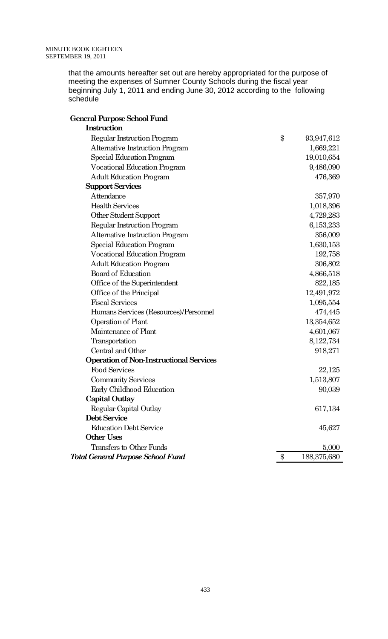that the amounts hereafter set out are hereby appropriated for the purpose of meeting the expenses of Sumner County Schools during the fiscal year beginning July 1, 2011 and ending June 30, 2012 according to the following schedule

| General Purpose School Fund                    |                   |             |
|------------------------------------------------|-------------------|-------------|
| Instruction                                    |                   |             |
| Regular Instruction Program                    | $\boldsymbol{\$}$ | 93,947,612  |
| Alternative Instruction Program                |                   | 1,669,221   |
| Special Education Program                      |                   | 19,010,654  |
| <b>Vocational Education Program</b>            |                   | 9,486,090   |
| <b>Adult Education Program</b>                 |                   | 476,369     |
| <b>Support Services</b>                        |                   |             |
| Attendance                                     |                   | 357,970     |
| <b>Health Services</b>                         |                   | 1,018,396   |
| Other Student Support                          |                   | 4,729,283   |
| Regular Instruction Program                    |                   | 6,153,233   |
| Alternative Instruction Program                |                   | 356,009     |
| Special Education Program                      |                   | 1,630,153   |
| <b>Vocational Education Program</b>            |                   | 192,758     |
| <b>Adult Education Program</b>                 |                   | 306,802     |
| Board of Education                             |                   | 4,866,518   |
| Office of the Superintendent                   |                   | 822,185     |
| Office of the Principal                        |                   | 12,491,972  |
| <b>Fiscal Services</b>                         |                   | 1,095,554   |
| Humans Services (Resources)/Personnel          |                   | 474,445     |
| Operation of Plant                             |                   | 13,354,652  |
| Maintenance of Plant                           |                   | 4,601,067   |
| Transportation                                 |                   | 8,122,734   |
| Central and Other                              |                   | 918,271     |
| <b>Operation of Non-Instructional Services</b> |                   |             |
| <b>Food Services</b>                           |                   | 22,125      |
| <b>Community Services</b>                      |                   | 1,513,807   |
| Early Childhood Education                      |                   | 90,039      |
| Capital Outlay                                 |                   |             |
| Regular Capital Outlay                         |                   | 617,134     |
| Debt Service                                   |                   |             |
| <b>Education Debt Service</b>                  |                   | 45,627      |
| <b>Other Uses</b>                              |                   |             |
| Transfers to Other Funds                       |                   | 5,000       |
| <b>Total General Purpose School Fund</b>       | $\$\$             | 188,375,680 |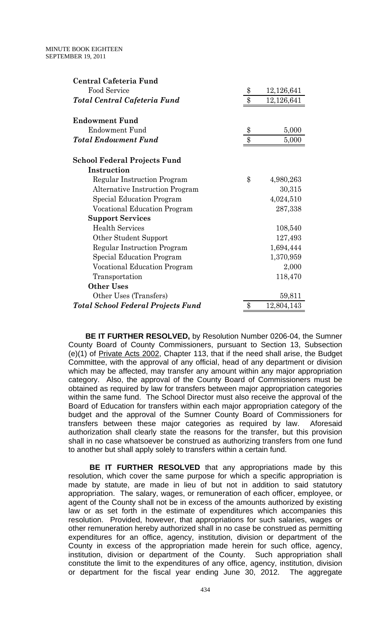| Central Cafeteria Fund                    |       |            |
|-------------------------------------------|-------|------------|
| Food Service                              | \$    | 12,126,641 |
| Total Central Cafeteria Fund              | \$    | 12,126,641 |
| <b>Endowment Fund</b>                     |       |            |
| Endowment Fund                            | \$    | 5,000      |
| <b>Total Endowment Fund</b>               | \$    | 5,000      |
| <b>School Federal Projects Fund</b>       |       |            |
| Instruction                               |       |            |
| Regular Instruction Program               | \$    | 4,980,263  |
| <b>Alternative Instruction Program</b>    |       | 30,315     |
| Special Education Program                 |       | 4,024,510  |
| Vocational Education Program              |       | 287,338    |
| <b>Support Services</b>                   |       |            |
| <b>Health Services</b>                    |       | 108,540    |
| Other Student Support                     |       | 127,493    |
| Regular Instruction Program               |       | 1,694,444  |
| <b>Special Education Program</b>          |       | 1,370,959  |
| Vocational Education Program              |       | 2,000      |
| Transportation                            |       | 118,470    |
| <b>Other Uses</b>                         |       |            |
| Other Uses (Transfers)                    |       | 59,811     |
| <b>Total School Federal Projects Fund</b> | $\$\$ | 12,804,143 |
|                                           |       |            |

 **BE IT FURTHER RESOLVED,** by Resolution Number 0206-04, the Sumner County Board of County Commissioners, pursuant to Section 13, Subsection (e)(1) of Private Acts 2002, Chapter 113, that if the need shall arise, the Budget Committee, with the approval of any official, head of any department or division which may be affected, may transfer any amount within any major appropriation category. Also, the approval of the County Board of Commissioners must be obtained as required by law for transfers between major appropriation categories within the same fund. The School Director must also receive the approval of the Board of Education for transfers within each major appropriation category of the budget and the approval of the Sumner County Board of Commissioners for transfers between these major categories as required by law. Aforesaid authorization shall clearly state the reasons for the transfer, but this provision shall in no case whatsoever be construed as authorizing transfers from one fund to another but shall apply solely to transfers within a certain fund.

 **BE IT FURTHER RESOLVED** that any appropriations made by this resolution, which cover the same purpose for which a specific appropriation is made by statute, are made in lieu of but not in addition to said statutory appropriation. The salary, wages, or remuneration of each officer, employee, or agent of the County shall not be in excess of the amounts authorized by existing law or as set forth in the estimate of expenditures which accompanies this resolution. Provided, however, that appropriations for such salaries, wages or other remuneration hereby authorized shall in no case be construed as permitting expenditures for an office, agency, institution, division or department of the County in excess of the appropriation made herein for such office, agency, institution, division or department of the County. Such appropriation shall constitute the limit to the expenditures of any office, agency, institution, division or department for the fiscal year ending June 30, 2012. The aggregate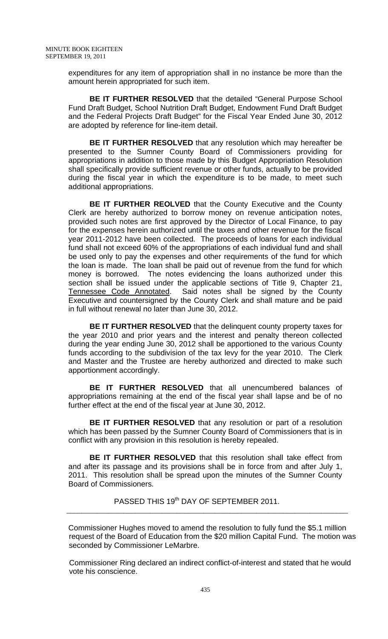expenditures for any item of appropriation shall in no instance be more than the amount herein appropriated for such item.

 **BE IT FURTHER RESOLVED** that the detailed "General Purpose School Fund Draft Budget, School Nutrition Draft Budget, Endowment Fund Draft Budget and the Federal Projects Draft Budget" for the Fiscal Year Ended June 30, 2012 are adopted by reference for line-item detail.

**BE IT FURTHER RESOLVED** that any resolution which may hereafter be presented to the Sumner County Board of Commissioners providing for appropriations in addition to those made by this Budget Appropriation Resolution shall specifically provide sufficient revenue or other funds, actually to be provided during the fiscal year in which the expenditure is to be made, to meet such additional appropriations.

**BE IT FURTHER REOLVED** that the County Executive and the County Clerk are hereby authorized to borrow money on revenue anticipation notes, provided such notes are first approved by the Director of Local Finance, to pay for the expenses herein authorized until the taxes and other revenue for the fiscal year 2011-2012 have been collected. The proceeds of loans for each individual fund shall not exceed 60% of the appropriations of each individual fund and shall be used only to pay the expenses and other requirements of the fund for which the loan is made. The loan shall be paid out of revenue from the fund for which money is borrowed. The notes evidencing the loans authorized under this section shall be issued under the applicable sections of Title 9, Chapter 21, Tennessee Code Annotated. Said notes shall be signed by the County Executive and countersigned by the County Clerk and shall mature and be paid in full without renewal no later than June 30, 2012.

 **BE IT FURTHER RESOLVED** that the delinquent county property taxes for the year 2010 and prior years and the interest and penalty thereon collected during the year ending June 30, 2012 shall be apportioned to the various County funds according to the subdivision of the tax levy for the year 2010. The Clerk and Master and the Trustee are hereby authorized and directed to make such apportionment accordingly.

 **BE IT FURTHER RESOLVED** that all unencumbered balances of appropriations remaining at the end of the fiscal year shall lapse and be of no further effect at the end of the fiscal year at June 30, 2012.

**BE IT FURTHER RESOLVED** that any resolution or part of a resolution which has been passed by the Sumner County Board of Commissioners that is in conflict with any provision in this resolution is hereby repealed.

 **BE IT FURTHER RESOLVED** that this resolution shall take effect from and after its passage and its provisions shall be in force from and after July 1, 2011. This resolution shall be spread upon the minutes of the Sumner County Board of Commissioners.

PASSED THIS 19<sup>th</sup> DAY OF SEPTEMBER 2011. \_\_\_\_\_\_\_\_\_\_\_\_\_\_\_\_\_\_\_\_\_\_\_\_\_\_\_\_\_\_\_\_\_\_\_\_\_\_\_\_\_\_\_\_\_\_\_\_\_\_\_\_\_\_\_\_\_\_\_\_\_\_\_\_\_\_\_\_\_\_\_\_\_\_

Commissioner Hughes moved to amend the resolution to fully fund the \$5.1 million request of the Board of Education from the \$20 million Capital Fund. The motion was seconded by Commissioner LeMarbre.

 Commissioner Ring declared an indirect conflict-of-interest and stated that he would vote his conscience.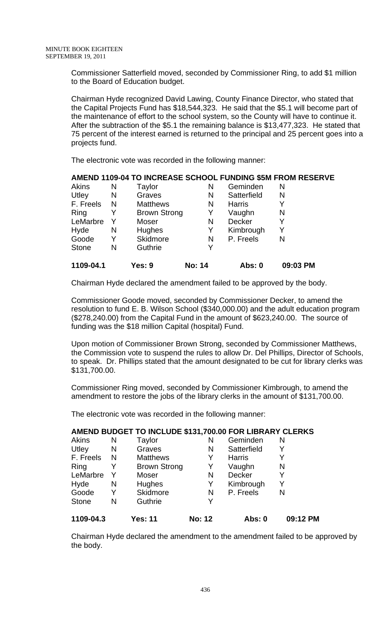Commissioner Satterfield moved, seconded by Commissioner Ring, to add \$1 million to the Board of Education budget.

Chairman Hyde recognized David Lawing, County Finance Director, who stated that the Capital Projects Fund has \$18,544,323. He said that the \$5.1 will become part of the maintenance of effort to the school system, so the County will have to continue it. After the subtraction of the \$5.1 the remaining balance is \$13,477,323. He stated that 75 percent of the interest earned is returned to the principal and 25 percent goes into a projects fund.

The electronic vote was recorded in the following manner:

## **AMEND 1109-04 TO INCREASE SCHOOL FUNDING \$5M FROM RESERVE**

| 1109-04.1    |   | Yes: 9              | <b>No: 14</b> | Abs: 0        | 09:03 PM |
|--------------|---|---------------------|---------------|---------------|----------|
| <b>Stone</b> | N | Guthrie             | Y             |               |          |
| Goode        | Y | Skidmore            | N             | P. Freels     | Ν        |
| Hyde         | N | Hughes              | Y             | Kimbrough     | Y        |
| LeMarbre     | Y | Moser               | N             | Decker        | Y        |
| Ring         |   | <b>Brown Strong</b> | Y             | Vaughn        | N        |
| F. Freels    | N | <b>Matthews</b>     | N             | <b>Harris</b> | Y        |
| Utley        | N | Graves              | N             | Satterfield   | N        |
| <b>Akins</b> | N | Taylor              | N             | Geminden      | N        |

Chairman Hyde declared the amendment failed to be approved by the body.

Commissioner Goode moved, seconded by Commissioner Decker, to amend the resolution to fund E. B. Wilson School (\$340,000.00) and the adult education program (\$278,240.00) from the Capital Fund in the amount of \$623,240.00. The source of funding was the \$18 million Capital (hospital) Fund.

Upon motion of Commissioner Brown Strong, seconded by Commissioner Matthews, the Commission vote to suspend the rules to allow Dr. Del Phillips, Director of Schools, to speak. Dr. Phillips stated that the amount designated to be cut for library clerks was \$131,700.00.

Commissioner Ring moved, seconded by Commissioner Kimbrough, to amend the amendment to restore the jobs of the library clerks in the amount of \$131,700.00.

The electronic vote was recorded in the following manner:

## **AMEND BUDGET TO INCLUDE \$131,700.00 FOR LIBRARY CLERKS**

| Y | Skidmore            | N | P. Freels         | N |
|---|---------------------|---|-------------------|---|
| N | Hughes              | Y | Kimbrough         |   |
| Y | Moser               | N | Decker            |   |
| Y | <b>Brown Strong</b> | Y | Vaughn            | N |
| N | <b>Matthews</b>     | Y | <b>Harris</b>     |   |
| N | Graves              | N | Satterfield       |   |
| Ν | Taylor              | N | Geminden          | N |
|   |                     |   | Guthrie<br>Y<br>N |   |

Chairman Hyde declared the amendment to the amendment failed to be approved by the body.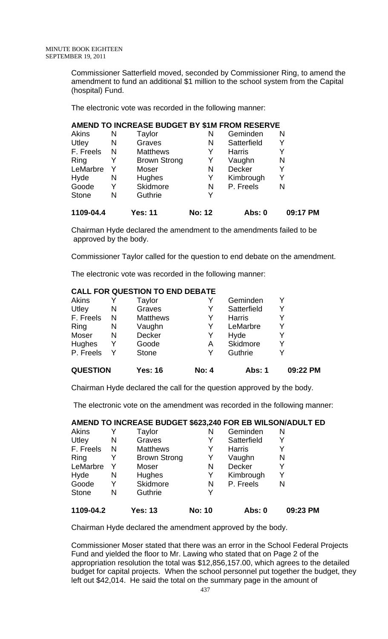Commissioner Satterfield moved, seconded by Commissioner Ring, to amend the amendment to fund an additional \$1 million to the school system from the Capital (hospital) Fund.

The electronic vote was recorded in the following manner:

# **AMEND TO INCREASE BUDGET BY \$1M FROM RESERVE**

| 1109-04.4    |   | <b>Yes: 11</b>      | <b>No: 12</b> | Abs: 0        | 09:17 PM |
|--------------|---|---------------------|---------------|---------------|----------|
| <b>Stone</b> | N | Guthrie             | Y             |               |          |
| Goode        | Y | Skidmore            | N             | P. Freels     | N        |
| Hyde         | N | <b>Hughes</b>       | Y             | Kimbrough     | Y        |
| LeMarbre     |   | Moser               | N             | Decker        |          |
| Ring         |   | <b>Brown Strong</b> | Y             | Vaughn        | N        |
| F. Freels    | N | <b>Matthews</b>     | Y             | <b>Harris</b> |          |
| Utley        | N | Graves              | N             | Satterfield   |          |
| Akins        | N | Taylor              | Ν             | Geminden      | N        |

Chairman Hyde declared the amendment to the amendments failed to be approved by the body.

Commissioner Taylor called for the question to end debate on the amendment.

The electronic vote was recorded in the following manner:

# **CALL FOR QUESTION TO END DEBATE**

| <b>QUESTION</b> |   | <b>Yes: 16</b>  | <b>No: 4</b> | Abs: 1        | 09:22 PM |
|-----------------|---|-----------------|--------------|---------------|----------|
| P. Freels       |   | <b>Stone</b>    | Y            | Guthrie       |          |
| Hughes          | Y | Goode           | Α            | Skidmore      |          |
| Moser           | N | Decker          | Y            | Hyde          |          |
| Ring            | N | Vaughn          | Y            | LeMarbre      |          |
| F. Freels       | N | <b>Matthews</b> | Y            | <b>Harris</b> |          |
| Utley           | N | Graves          | Y            | Satterfield   |          |
| Akins           |   | Taylor          |              | Geminden      |          |

Chairman Hyde declared the call for the question approved by the body.

The electronic vote on the amendment was recorded in the following manner:

# **AMEND TO INCREASE BUDGET \$623,240 FOR EB WILSON/ADULT ED**

| Akins        |   | Taylor              | N             | Geminden      | N        |
|--------------|---|---------------------|---------------|---------------|----------|
| Utley        | N | Graves              | Y             | Satterfield   | Y        |
| F. Freels    | N | <b>Matthews</b>     | Y             | <b>Harris</b> | Y        |
| Ring         |   | <b>Brown Strong</b> | Y             | Vaughn        | N        |
| LeMarbre     | Y | Moser               | N             | <b>Decker</b> | Y        |
| Hyde         | N | Hughes              | Y             | Kimbrough     | Y        |
| Goode        | Y | Skidmore            | N             | P. Freels     | N        |
| <b>Stone</b> | N | Guthrie             | Y             |               |          |
| 1109-04.2    |   | <b>Yes: 13</b>      | <b>No: 10</b> | Abs: 0        | 09:23 PM |

Chairman Hyde declared the amendment approved by the body.

Commissioner Moser stated that there was an error in the School Federal Projects Fund and yielded the floor to Mr. Lawing who stated that on Page 2 of the appropriation resolution the total was \$12,856,157.00, which agrees to the detailed budget for capital projects. When the school personnel put together the budget, they left out \$42,014. He said the total on the summary page in the amount of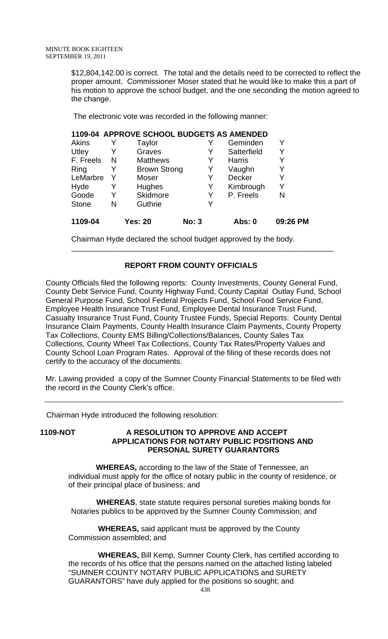\$12,804,142.00 is correct. The total and the details need to be corrected to reflect the proper amount. Commissioner Moser stated that he would like to make this a part of his motion to approve the school budget, and the one seconding the motion agreed to the change.

The electronic vote was recorded in the following manner:

| 1109-04      |   | <b>Yes: 20</b>                            | <b>No: 3</b> | Abs: 0        | 09:26 PM |
|--------------|---|-------------------------------------------|--------------|---------------|----------|
| <b>Stone</b> | N | Guthrie                                   | Y            |               |          |
| Goode        |   | Skidmore                                  | Y            | P. Freels     | N        |
| Hyde         |   | Hughes                                    | Y            | Kimbrough     | Y        |
| LeMarbre     |   | Moser                                     | Y            | <b>Decker</b> | Y        |
| Ring         |   | <b>Brown Strong</b>                       | Y            | Vaughn        | Y        |
| F. Freels    | N | <b>Matthews</b>                           | Y            | <b>Harris</b> | Y        |
| Utley        |   | Graves                                    | Y            | Satterfield   | Y        |
| <b>Akins</b> |   | Taylor                                    |              | Geminden      | Y        |
|              |   | 1109-04 APPROVE SCHOOL BUDGETS AS AMENDED |              |               |          |

Chairman Hyde declared the school budget approved by the body.

# **REPORT FROM COUNTY OFFICIALS**

\_\_\_\_\_\_\_\_\_\_\_\_\_\_\_\_\_\_\_\_\_\_\_\_\_\_\_\_\_\_\_\_\_\_\_\_\_\_\_\_\_\_\_\_\_\_\_\_\_\_\_\_\_\_\_\_\_\_\_\_\_\_

County Officials filed the following reports: County Investments, County General Fund, County Debt Service Fund, County Highway Fund, County Capital Outlay Fund, School General Purpose Fund, School Federal Projects Fund, School Food Service Fund, Employee Health Insurance Trust Fund, Employee Dental Insurance Trust Fund, Casualty Insurance Trust Fund, County Trustee Funds, Special Reports: County Dental Insurance Claim Payments, County Health Insurance Claim Payments, County Property Tax Collections, County EMS Billing/Collections/Balances, County Sales Tax Collections, County Wheel Tax Collections, County Tax Rates/Property Values and County School Loan Program Rates. Approval of the filing of these records does not certify to the accuracy of the documents.

Mr. Lawing provided a copy of the Sumner County Financial Statements to be filed with the record in the County Clerk's office.

Chairman Hyde introduced the following resolution:

### **1109-NOT A RESOLUTION TO APPROVE AND ACCEPT APPLICATIONS FOR NOTARY PUBLIC POSITIONS AND PERSONAL SURETY GUARANTORS**

 **WHEREAS,** according to the law of the State of Tennessee, an individual must apply for the office of notary public in the county of residence, or of their principal place of business; and

 **WHEREAS**, state statute requires personal sureties making bonds for Notaries publics to be approved by the Sumner County Commission; and

 **WHEREAS,** said applicant must be approved by the County Commission assembled; and

 **WHEREAS,** Bill Kemp, Sumner County Clerk, has certified according to the records of his office that the persons named on the attached listing labeled "SUMNER COUNTY NOTARY PUBLIC APPLICATIONS and SURETY GUARANTORS" have duly applied for the positions so sought; and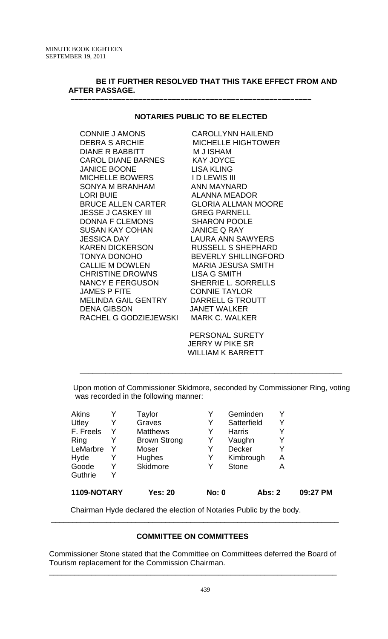# **BE IT FURTHER RESOLVED THAT THIS TAKE EFFECT FROM AND AFTER PASSAGE.**

## **NOTARIES PUBLIC TO BE ELECTED**

 **–––––––––––––––––––––––––––––––––––––––––––––––––––––––––**

CONNIE J AMONS CAROLLYNN HAILEND DEBRA S ARCHIE MICHELLE HIGHTOWER DIANE R BABBITT M J ISHAM CAROL DIANE BARNES KAY JOYCE JANICE BOONE LISA KLING MICHELLE BOWERS ID LEWIS III SONYA M BRANHAM ANN MAYNARD LORI BUIE ALANNA MEADOR BRUCE ALLEN CARTER GLORIA ALLMAN MOORE JESSE J CASKEY III GREG PARNELL DONNA F CLEMONS SHARON POOLE SUSAN KAY COHAN JANICE Q RAY JESSICA DAY LAURA ANN SAWYERS KAREN DICKERSON RUSSELL S SHEPHARD TONYA DONOHO BEVERLY SHILLINGFORD CALLIE M DOWLEN MARIA JESUSA SMITH CHRISTINE DROWNS LISA G SMITH NANCY E FERGUSON SHERRIE L. SORRELLS JAMES P FITE CONNIE TAYLOR MELINDA GAIL GENTRY DARRELL G TROUTT DENA GIBSON JANET WALKER RACHEL G GODZIEJEWSKI MARK C. WALKER

 PERSONAL SURETY JERRY W PIKE SR WILLIAM K BARRETT

 Upon motion of Commissioner Skidmore, seconded by Commissioner Ring, voting was recorded in the following manner:

**\_\_\_\_\_\_\_\_\_\_\_\_\_\_\_\_\_\_\_\_\_\_\_\_\_\_\_\_\_\_\_\_\_\_\_\_\_\_\_\_\_\_\_\_\_\_\_\_\_\_\_\_\_\_\_\_\_\_\_\_\_\_** 

|   |                     |          |               |                                               | 09:27 PM |
|---|---------------------|----------|---------------|-----------------------------------------------|----------|
| Y |                     |          |               |                                               |          |
| Y |                     | Y        | <b>Stone</b>  | Α                                             |          |
| Y | Hughes              | Y        | Kimbrough     | Α                                             |          |
|   | Moser               | Y        | <b>Decker</b> | Υ                                             |          |
|   | <b>Brown Strong</b> | Y        | Vaughn        | Y                                             |          |
| Y | <b>Matthews</b>     | Y        | <b>Harris</b> | Y                                             |          |
| Y | Graves              | Y        | Satterfield   | Y                                             |          |
|   | Taylor              | Y        | Geminden      |                                               |          |
|   |                     | Skidmore |               | 1109-NOTARY<br><b>Yes: 20</b><br><b>No: 0</b> | Abs: 2   |

Chairman Hyde declared the election of Notaries Public by the body.

# **COMMITTEE ON COMMITTEES**

 $\overline{\phantom{a}}$  , and the contribution of the contribution of the contribution of the contribution of the contribution of  $\overline{\phantom{a}}$ 

 Commissioner Stone stated that the Committee on Committees deferred the Board of Tourism replacement for the Commission Chairman.

 $\overline{\phantom{a}}$  , and the contribution of the contribution of the contribution of the contribution of the contribution of  $\overline{\phantom{a}}$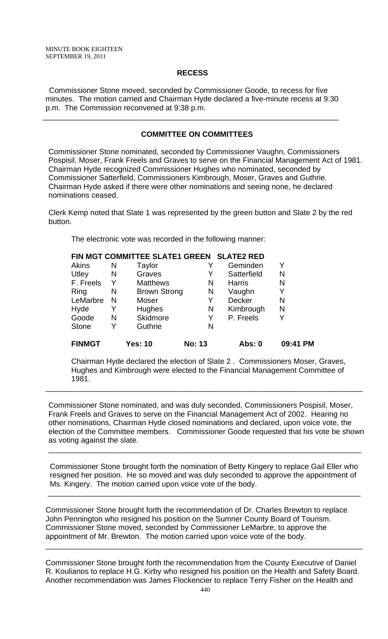## **RECESS**

Commissioner Stone moved, seconded by Commissioner Goode, to recess for five minutes. The motion carried and Chairman Hyde declared a five-minute recess at 9:30 p.m. The Commission reconvened at 9:38 p.m.

\_\_\_\_\_\_\_\_\_\_\_\_\_\_\_\_\_\_\_\_\_\_\_\_\_\_\_\_\_\_\_\_\_\_\_\_\_\_\_\_\_\_\_\_\_\_\_\_\_\_\_\_\_\_\_\_\_\_\_\_\_\_\_\_\_\_\_\_\_\_

# **COMMITTEE ON COMMITTEES**

Commissioner Stone nominated, seconded by Commissioner Vaughn, Commissioners Pospisil, Moser, Frank Freels and Graves to serve on the Financial Management Act of 1981. Chairman Hyde recognized Commissioner Hughes who nominated, seconded by Commissioner Satterfield, Commissioners Kimbrough, Moser, Graves and Guthrie. Chairman Hyde asked if there were other nominations and seeing none, he declared nominations ceased.

Clerk Kemp noted that Slate 1 was represented by the green button and Slate 2 by the red button.

The electronic vote was recorded in the following manner:

|               |    | FIN MGT COMMITTEE SLATE1 GREEN SLATE2 RED |               |               |          |
|---------------|----|-------------------------------------------|---------------|---------------|----------|
| Akins         | N  | Taylor                                    |               | Geminden      | Y        |
| Utley         | N  | Graves                                    | Y             | Satterfield   | N        |
| F. Freels     | Y. | <b>Matthews</b>                           | N             | <b>Harris</b> | N        |
| Ring          | N  | <b>Brown Strong</b>                       | N             | Vaughn        | Y        |
| LeMarbre      | N  | Moser                                     | Y             | <b>Decker</b> | N        |
| Hyde          | Y  | Hughes                                    | N             | Kimbrough     | N        |
| Goode         | N  | Skidmore                                  | Y             | P. Freels     | Y        |
| <b>Stone</b>  | Y  | Guthrie                                   | N             |               |          |
| <b>FINMGT</b> |    | <b>Yes: 10</b>                            | <b>No: 13</b> | <b>Abs: 0</b> | 09:41 PM |

Chairman Hyde declared the election of Slate 2 . Commissioners Moser, Graves, Hughes and Kimbrough were elected to the Financial Management Committee of 1981.

\_\_\_\_\_\_\_\_\_\_\_\_\_\_\_\_\_\_\_\_\_\_\_\_\_\_\_\_\_\_\_\_\_\_\_\_\_\_\_\_\_\_\_\_\_\_\_\_\_\_\_\_\_\_\_\_\_\_\_\_\_\_\_\_\_\_\_\_\_\_\_\_\_\_\_

Commissioner Stone nominated, and was duly seconded, Commissioners Pospisil, Moser, Frank Freels and Graves to serve on the Financial Management Act of 2002. Hearing no other nominations, Chairman Hyde closed nominations and declared, upon voice vote, the election of the Committee members. Commissioner Goode requested that his vote be shown as voting against the slate.

\_\_\_\_\_\_\_\_\_\_\_\_\_\_\_\_\_\_\_\_\_\_\_\_\_\_\_\_\_\_\_\_\_\_\_\_\_\_\_\_\_\_\_\_\_\_\_\_\_\_\_\_\_\_\_\_\_\_\_\_\_\_\_\_\_\_\_\_\_\_\_\_\_\_

 Commissioner Stone brought forth the nomination of Betty Kingery to replace Gail Eller who resigned her position. He so moved and was duly seconded to approve the appointment of Ms. Kingery. The motion carried upon voice vote of the body.

\_\_\_\_\_\_\_\_\_\_\_\_\_\_\_\_\_\_\_\_\_\_\_\_\_\_\_\_\_\_\_\_\_\_\_\_\_\_\_\_\_\_\_\_\_\_\_\_\_\_\_\_\_\_\_\_\_\_\_\_\_\_\_\_\_\_\_\_\_\_\_\_\_\_

Commissioner Stone brought forth the recommendation of Dr. Charles Brewton to replace John Pennington who resigned his position on the Sumner County Board of Tourism. Commissioner Stone moved, seconded by Commissioner LeMarbre, to approve the appointment of Mr. Brewton. The motion carried upon voice vote of the body.

Commissioner Stone brought forth the recommendation from the County Executive of Daniel R. Koulianos to replace H.G. Kirby who resigned his position on the Health and Safety Board. Another recommendation was James Flockencier to replace Terry Fisher on the Health and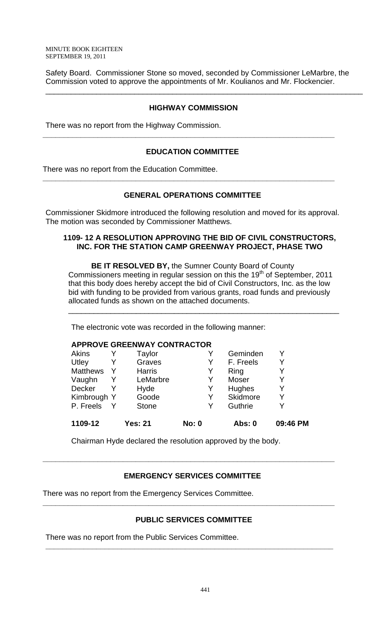Safety Board. Commissioner Stone so moved, seconded by Commissioner LeMarbre, the Commission voted to approve the appointments of Mr. Koulianos and Mr. Flockencier.

\_\_\_\_\_\_\_\_\_\_\_\_\_\_\_\_\_\_\_\_\_\_\_\_\_\_\_\_\_\_\_\_\_\_\_\_\_\_\_\_\_\_\_\_\_\_\_\_\_\_\_\_\_\_\_\_\_\_\_\_\_\_\_\_\_\_\_\_\_\_\_\_\_\_\_

## **HIGHWAY COMMISSION**

There was no report from the Highway Commission.

# **EDUCATION COMMITTEE**

**\_\_\_\_\_\_\_\_\_\_\_\_\_\_\_\_\_\_\_\_\_\_\_\_\_\_\_\_\_\_\_\_\_\_\_\_\_\_\_\_\_\_\_\_\_\_\_\_\_\_\_\_\_\_\_\_\_\_\_\_\_\_\_\_\_\_\_\_\_** 

There was no report from the Education Committee.

# **GENERAL OPERATIONS COMMITTEE**

**\_\_\_\_\_\_\_\_\_\_\_\_\_\_\_\_\_\_\_\_\_\_\_\_\_\_\_\_\_\_\_\_\_\_\_\_\_\_\_\_\_\_\_\_\_\_\_\_\_\_\_\_\_\_\_\_\_\_\_\_\_\_\_\_\_\_\_\_\_** 

Commissioner Skidmore introduced the following resolution and moved for its approval. The motion was seconded by Commissioner Matthews.

## **1109- 12 A RESOLUTION APPROVING THE BID OF CIVIL CONSTRUCTORS, INC. FOR THE STATION CAMP GREENWAY PROJECT, PHASE TWO**

**BE IT RESOLVED BY,** the Sumner County Board of County Commissioners meeting in regular session on this the  $19<sup>th</sup>$  of September, 2011 that this body does hereby accept the bid of Civil Constructors, Inc. as the low bid with funding to be provided from various grants, road funds and previously allocated funds as shown on the attached documents.

\_\_\_\_\_\_\_\_\_\_\_\_\_\_\_\_\_\_\_\_\_\_\_\_\_\_\_\_\_\_\_\_\_\_\_\_\_\_\_\_\_\_\_\_\_\_\_\_\_\_\_\_\_\_\_\_\_\_\_\_\_\_\_\_

The electronic vote was recorded in the following manner:

## **APPROVE GREENWAY CONTRACTOR**

| 1109-12         | <b>Yes: 21</b> | <b>No: 0</b> | Abs: 0    | 09:46 PM |
|-----------------|----------------|--------------|-----------|----------|
| P. Freels       | <b>Stone</b>   | Y            | Guthrie   | Y        |
| Kimbrough Y     | Goode          | Y            | Skidmore  | Y        |
| <b>Decker</b>   | Hyde           | Y            | Hughes    | Y        |
| Vaughn          | LeMarbre       | Y            | Moser     | Y        |
| <b>Matthews</b> | <b>Harris</b>  | Y            | Ring      | Y        |
| Utley           | Graves         | Y            | F. Freels | Y        |
| <b>Akins</b>    | Taylor         |              | Geminden  | Y        |

Chairman Hyde declared the resolution approved by the body.

# **EMERGENCY SERVICES COMMITTEE**

**\_\_\_\_\_\_\_\_\_\_\_\_\_\_\_\_\_\_\_\_\_\_\_\_\_\_\_\_\_\_\_\_\_\_\_\_\_\_\_\_\_\_\_\_\_\_\_\_\_\_\_\_\_\_\_\_\_\_\_\_\_\_\_\_\_\_\_\_\_** 

There was no report from the Emergency Services Committee.

# **PUBLIC SERVICES COMMITTEE**

**\_\_\_\_\_\_\_\_\_\_\_\_\_\_\_\_\_\_\_\_\_\_\_\_\_\_\_\_\_\_\_\_\_\_\_\_\_\_\_\_\_\_\_\_\_\_\_\_\_\_\_\_\_\_\_\_\_\_\_\_\_\_\_\_\_\_\_\_\_** 

**\_\_\_\_\_\_\_\_\_\_\_\_\_\_\_\_\_\_\_\_\_\_\_\_\_\_\_\_\_\_\_\_\_\_\_\_\_\_\_\_\_\_\_\_\_\_\_\_\_\_\_\_\_\_\_\_\_\_\_\_\_\_\_\_\_\_\_\_** 

There was no report from the Public Services Committee.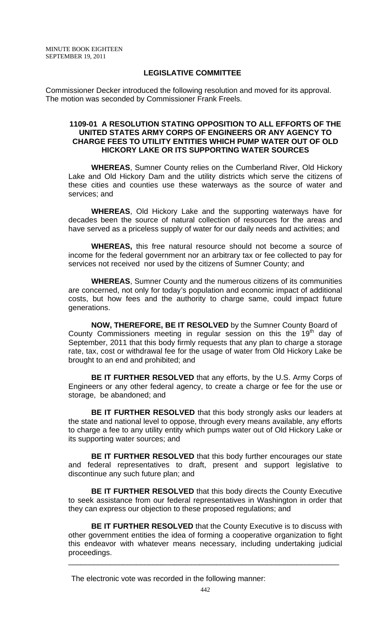## **LEGISLATIVE COMMITTEE**

Commissioner Decker introduced the following resolution and moved for its approval. The motion was seconded by Commissioner Frank Freels.

## **1109-01 A RESOLUTION STATING OPPOSITION TO ALL EFFORTS OF THE UNITED STATES ARMY CORPS OF ENGINEERS OR ANY AGENCY TO CHARGE FEES TO UTILITY ENTITIES WHICH PUMP WATER OUT OF OLD HICKORY LAKE OR ITS SUPPORTING WATER SOURCES**

**WHEREAS**, Sumner County relies on the Cumberland River, Old Hickory Lake and Old Hickory Dam and the utility districts which serve the citizens of these cities and counties use these waterways as the source of water and services; and

**WHEREAS**, Old Hickory Lake and the supporting waterways have for decades been the source of natural collection of resources for the areas and have served as a priceless supply of water for our daily needs and activities; and

**WHEREAS,** this free natural resource should not become a source of income for the federal government nor an arbitrary tax or fee collected to pay for services not received nor used by the citizens of Sumner County; and

**WHEREAS**, Sumner County and the numerous citizens of its communities are concerned, not only for today's population and economic impact of additional costs, but how fees and the authority to charge same, could impact future generations.

**NOW, THEREFORE, BE IT RESOLVED** by the Sumner County Board of County Commissioners meeting in regular session on this the  $19<sup>th</sup>$  day of September, 2011 that this body firmly requests that any plan to charge a storage rate, tax, cost or withdrawal fee for the usage of water from Old Hickory Lake be brought to an end and prohibited; and

**BE IT FURTHER RESOLVED** that any efforts, by the U.S. Army Corps of Engineers or any other federal agency, to create a charge or fee for the use or storage, be abandoned; and

**BE IT FURTHER RESOLVED** that this body strongly asks our leaders at the state and national level to oppose, through every means available, any efforts to charge a fee to any utility entity which pumps water out of Old Hickory Lake or its supporting water sources; and

**BE IT FURTHER RESOLVED** that this body further encourages our state and federal representatives to draft, present and support legislative to discontinue any such future plan; and

**BE IT FURTHER RESOLVED** that this body directs the County Executive to seek assistance from our federal representatives in Washington in order that they can express our objection to these proposed regulations; and

**BE IT FURTHER RESOLVED** that the County Executive is to discuss with other government entities the idea of forming a cooperative organization to fight this endeavor with whatever means necessary, including undertaking judicial proceedings.

The electronic vote was recorded in the following manner: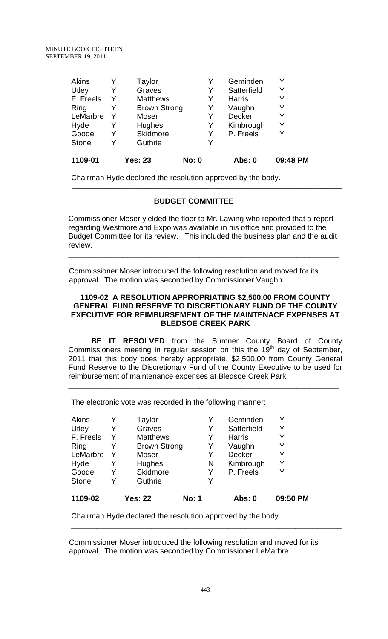| 1109-01      |   | <b>Yes: 23</b>      | <b>No: 0</b> | Abs: 0        | 09:48 PM |
|--------------|---|---------------------|--------------|---------------|----------|
| <b>Stone</b> | v | Guthrie             | Y            |               |          |
| Goode        |   | Skidmore            | Y            | P. Freels     | Y        |
| Hyde         |   | <b>Hughes</b>       | Y            | Kimbrough     | Y        |
| LeMarbre     |   | Moser               | Y            | Decker        | Y        |
| Ring         |   | <b>Brown Strong</b> | Y            | Vaughn        | Y        |
| F. Freels    | Y | <b>Matthews</b>     | Y            | <b>Harris</b> | Y        |
| Utley        |   | Graves              | Y            | Satterfield   | Y        |
| Akins        |   | Taylor              |              | Geminden      |          |

Chairman Hyde declared the resolution approved by the body.

## **BUDGET COMMITTEE**

Commissioner Moser yielded the floor to Mr. Lawing who reported that a report regarding Westmoreland Expo was available in his office and provided to the Budget Committee for its review. This included the business plan and the audit review.

\_\_\_\_\_\_\_\_\_\_\_\_\_\_\_\_\_\_\_\_\_\_\_\_\_\_\_\_\_\_\_\_\_\_\_\_\_\_\_\_\_\_\_\_\_\_\_\_\_\_\_\_\_\_\_\_\_\_\_\_\_\_\_\_

\_\_\_\_\_\_\_\_\_\_\_\_\_\_\_\_\_\_\_\_\_\_\_\_\_\_\_\_\_\_\_\_\_\_\_\_\_\_\_\_\_\_\_\_\_\_\_\_\_\_\_\_\_\_\_\_\_\_\_\_\_\_\_\_\_\_\_\_\_\_\_\_\_\_\_\_\_\_\_\_\_\_\_\_\_

 Commissioner Moser introduced the following resolution and moved for its approval. The motion was seconded by Commissioner Vaughn.

### **1109-02 A RESOLUTION APPROPRIATING \$2,500.00 FROM COUNTY GENERAL FUND RESERVE TO DISCRETIONARY FUND OF THE COUNTY EXECUTIVE FOR REIMBURSEMENT OF THE MAINTENACE EXPENSES AT BLEDSOE CREEK PARK**

**BE IT RESOLVED** from the Sumner County Board of County Commissioners meeting in regular session on this the 19<sup>th</sup> day of September, 2011 that this body does hereby appropriate, \$2,500.00 from County General Fund Reserve to the Discretionary Fund of the County Executive to be used for reimbursement of maintenance expenses at Bledsoe Creek Park.

\_\_\_\_\_\_\_\_\_\_\_\_\_\_\_\_\_\_\_\_\_\_\_\_\_\_\_\_\_\_\_\_\_\_\_\_\_\_\_\_\_\_\_\_\_\_\_\_\_\_\_\_\_\_\_\_\_\_\_\_\_\_\_\_

The electronic vote was recorded in the following manner:

| Akins        |   | Taylor              |              | Geminden      |          |
|--------------|---|---------------------|--------------|---------------|----------|
| Utley        | Y | Graves              | Y            | Satterfield   | Y        |
| F. Freels    |   | <b>Matthews</b>     | Y            | <b>Harris</b> | Y        |
| Ring         |   | <b>Brown Strong</b> | Y            | Vaughn        | Y        |
| LeMarbre     |   | Moser               | Y            | Decker        | Y        |
| Hyde         | Y | Hughes              | N            | Kimbrough     | Y        |
| Goode        |   | Skidmore            | Y            | P. Freels     | Y        |
| <b>Stone</b> | v | Guthrie             | Y            |               |          |
| 1109-02      |   | <b>Yes: 22</b>      | <b>No: 1</b> | Abs: 0        | 09:50 PM |

Chairman Hyde declared the resolution approved by the body.

 Commissioner Moser introduced the following resolution and moved for its approval. The motion was seconded by Commissioner LeMarbre.